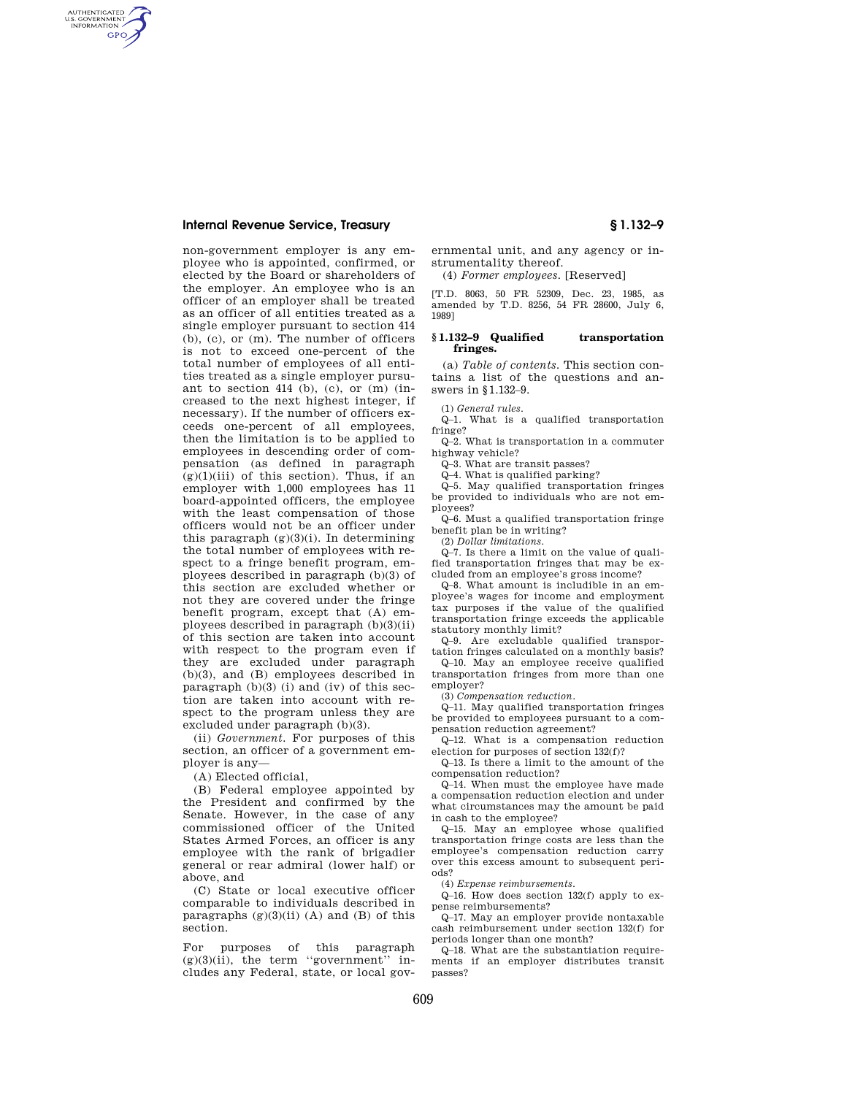AUTHENTICATED<br>U.S. GOVERNMENT<br>INFORMATION **GPO** 

> non-government employer is any employee who is appointed, confirmed, or elected by the Board or shareholders of the employer. An employee who is an officer of an employer shall be treated as an officer of all entities treated as a single employer pursuant to section 414 (b), (c), or (m). The number of officers is not to exceed one-percent of the total number of employees of all entities treated as a single employer pursuant to section 414 (b), (c), or (m) (increased to the next highest integer, if necessary). If the number of officers exceeds one-percent of all employees, then the limitation is to be applied to employees in descending order of compensation (as defined in paragraph  $(g)(1)(iii)$  of this section). Thus, if an employer with 1,000 employees has 11 board-appointed officers, the employee with the least compensation of those officers would not be an officer under this paragraph (g)(3)(i). In determining the total number of employees with respect to a fringe benefit program, employees described in paragraph (b)(3) of this section are excluded whether or not they are covered under the fringe benefit program, except that (A) employees described in paragraph (b)(3)(ii) of this section are taken into account with respect to the program even if they are excluded under paragraph (b)(3), and (B) employees described in paragraph  $(b)(3)$  (i) and (iv) of this section are taken into account with respect to the program unless they are excluded under paragraph (b)(3).

(ii) *Government.* For purposes of this section, an officer of a government employer is any—

(A) Elected official,

(B) Federal employee appointed by the President and confirmed by the Senate. However, in the case of any commissioned officer of the United States Armed Forces, an officer is any employee with the rank of brigadier general or rear admiral (lower half) or above, and

(C) State or local executive officer comparable to individuals described in paragraphs  $(g)(3)(ii)$  (A) and (B) of this section.

For purposes of this paragraph  $(g)(3)(ii)$ , the term "government" includes any Federal, state, or local gov-

ernmental unit, and any agency or instrumentality thereof.

(4) *Former employees.* [Reserved]

[T.D. 8063, 50 FR 52309, Dec. 23, 1985, as amended by T.D. 8256, 54 FR 28600, July 6, 1989]

### **§ 1.132–9 Qualified transportation fringes.**

(a) *Table of contents.* This section contains a list of the questions and answers in §1.132–9.

(1) *General rules.* 

Q–1. What is a qualified transportation fringe?

Q–2. What is transportation in a commuter highway vehicle?

Q–3. What are transit passes?

Q–4. What is qualified parking?

Q–5. May qualified transportation fringes be provided to individuals who are not employees?

Q–6. Must a qualified transportation fringe benefit plan be in writing?

(2) *Dollar limitations.* 

 $Q-7$ . Is there a limit on the value of qualified transportation fringes that may be excluded from an employee's gross income?

Q–8. What amount is includible in an employee's wages for income and employment tax purposes if the value of the qualified transportation fringe exceeds the applicable statutory monthly limit?

Q–9. Are excludable qualified transportation fringes calculated on a monthly basis?

Q–10. May an employee receive qualified transportation fringes from more than one employer?

(3) *Compensation reduction.* 

Q–11. May qualified transportation fringes be provided to employees pursuant to a compensation reduction agreement?

Q–12. What is a compensation reduction election for purposes of section 132(f)?

Q–13. Is there a limit to the amount of the compensation reduction?

Q–14. When must the employee have made a compensation reduction election and under what circumstances may the amount be paid in cash to the employee?

Q–15. May an employee whose qualified transportation fringe costs are less than the employee's compensation reduction carry over this excess amount to subsequent periods?

(4) *Expense reimbursements.* 

Q–16. How does section 132(f) apply to expense reimbursements?

Q–17. May an employer provide nontaxable cash reimbursement under section 132(f) for periods longer than one month?

Q–18. What are the substantiation requirements if an employer distributes transit passes?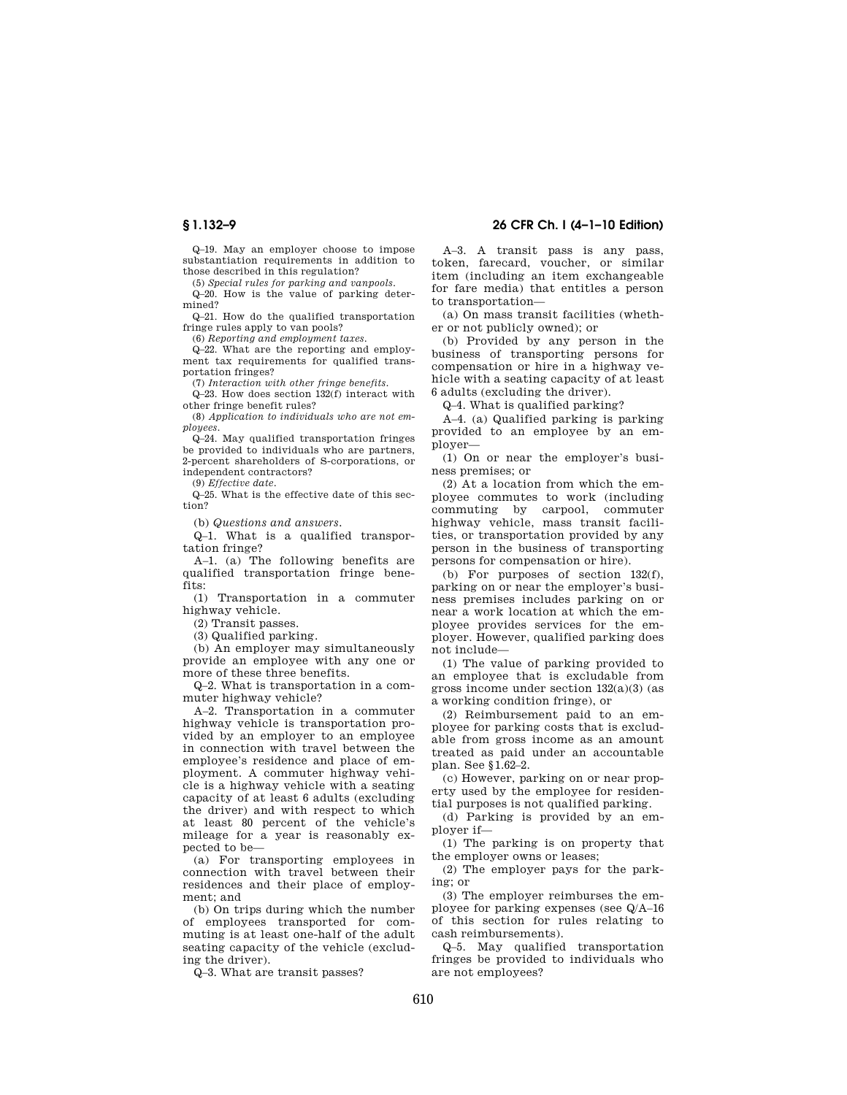Q–19. May an employer choose to impose substantiation requirements in addition to those described in this regulation?

(5) *Special rules for parking and vanpools.* 

Q–20. How is the value of parking determined? Q–21. How do the qualified transportation

fringe rules apply to van pools?

(6) *Reporting and employment taxes.* 

Q–22. What are the reporting and employment tax requirements for qualified transportation fringes?

(7) *Interaction with other fringe benefits.* 

Q–23. How does section 132(f) interact with other fringe benefit rules?

(8) *Application to individuals who are not employees.* 

Q–24. May qualified transportation fringes be provided to individuals who are partners, 2-percent shareholders of S-corporations, or independent contractors?

(9) *Effective date.* 

Q–25. What is the effective date of this section?

(b) *Questions and answers.* 

Q–1. What is a qualified transportation fringe?

A–1. (a) The following benefits are qualified transportation fringe benefits:

(1) Transportation in a commuter highway vehicle.

(2) Transit passes.

(3) Qualified parking.

(b) An employer may simultaneously provide an employee with any one or more of these three benefits.

Q–2. What is transportation in a commuter highway vehicle?

A–2. Transportation in a commuter highway vehicle is transportation provided by an employer to an employee in connection with travel between the employee's residence and place of employment. A commuter highway vehicle is a highway vehicle with a seating capacity of at least 6 adults (excluding the driver) and with respect to which at least 80 percent of the vehicle's mileage for a year is reasonably expected to be—

(a) For transporting employees in connection with travel between their residences and their place of employment; and

(b) On trips during which the number of employees transported for commuting is at least one-half of the adult seating capacity of the vehicle (excluding the driver).

Q–3. What are transit passes?

## **§ 1.132–9 26 CFR Ch. I (4–1–10 Edition)**

A–3. A transit pass is any pass, token, farecard, voucher, or similar item (including an item exchangeable for fare media) that entitles a person to transportation—

(a) On mass transit facilities (whether or not publicly owned); or

(b) Provided by any person in the business of transporting persons for compensation or hire in a highway vehicle with a seating capacity of at least 6 adults (excluding the driver).

Q–4. What is qualified parking?

A–4. (a) Qualified parking is parking provided to an employee by an employer—

(1) On or near the employer's business premises; or

(2) At a location from which the employee commutes to work (including commuting by carpool, commuter highway vehicle, mass transit facilities, or transportation provided by any person in the business of transporting persons for compensation or hire).

(b) For purposes of section 132(f), parking on or near the employer's business premises includes parking on or near a work location at which the employee provides services for the employer. However, qualified parking does not include—

(1) The value of parking provided to an employee that is excludable from gross income under section 132(a)(3) (as a working condition fringe), or

(2) Reimbursement paid to an employee for parking costs that is excludable from gross income as an amount treated as paid under an accountable plan. See §1.62–2.

(c) However, parking on or near property used by the employee for residential purposes is not qualified parking.

(d) Parking is provided by an employer if—

(1) The parking is on property that the employer owns or leases;

(2) The employer pays for the parking; or

(3) The employer reimburses the employee for parking expenses (see Q/A–16 of this section for rules relating to cash reimbursements).

Q–5. May qualified transportation fringes be provided to individuals who are not employees?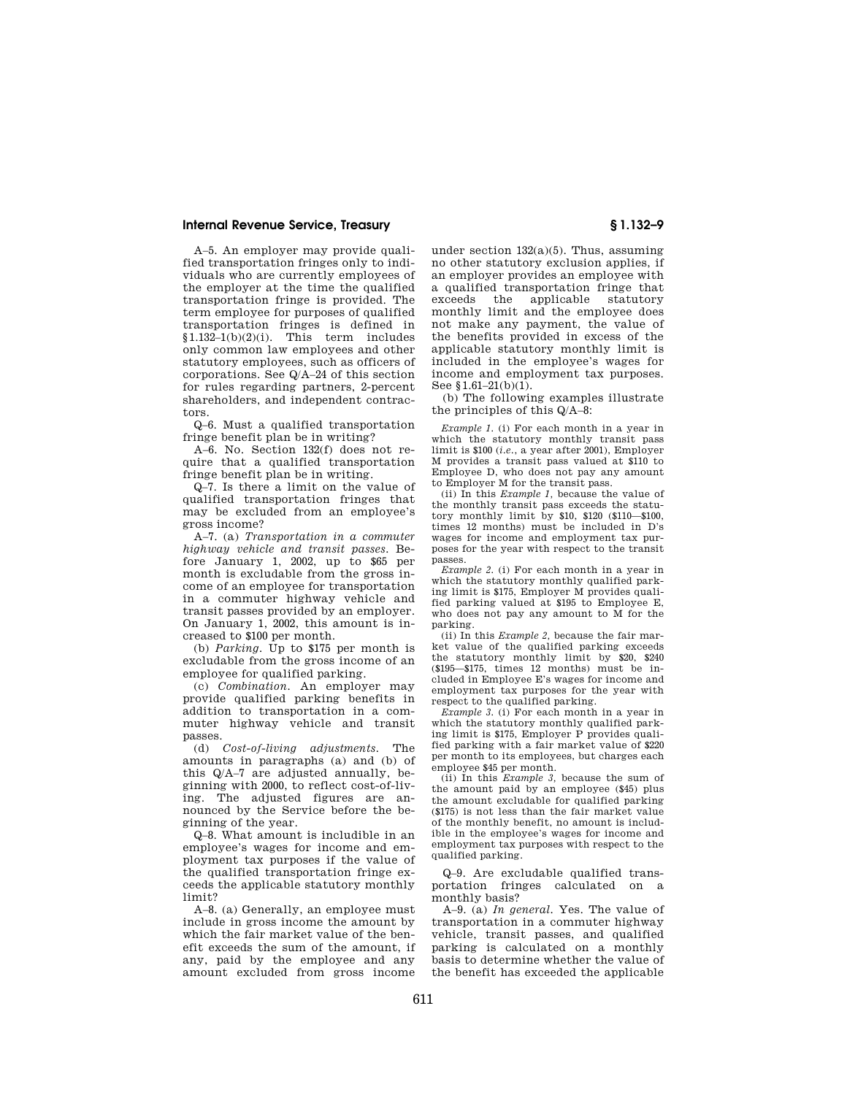A–5. An employer may provide qualified transportation fringes only to individuals who are currently employees of the employer at the time the qualified transportation fringe is provided. The term employee for purposes of qualified transportation fringes is defined in  $$1.132-1(b)(2)(i)$ . This term includes only common law employees and other statutory employees, such as officers of corporations. See Q/A–24 of this section for rules regarding partners, 2-percent shareholders, and independent contractors.

Q–6. Must a qualified transportation fringe benefit plan be in writing?

A–6. No. Section 132(f) does not require that a qualified transportation fringe benefit plan be in writing.

Q–7. Is there a limit on the value of qualified transportation fringes that may be excluded from an employee's gross income?

A–7. (a) *Transportation in a commuter highway vehicle and transit passes.* Before January 1, 2002, up to \$65 per month is excludable from the gross income of an employee for transportation in a commuter highway vehicle and transit passes provided by an employer. On January 1, 2002, this amount is increased to \$100 per month.

(b) *Parking.* Up to \$175 per month is excludable from the gross income of an employee for qualified parking.

(c) *Combination.* An employer may provide qualified parking benefits in addition to transportation in a commuter highway vehicle and transit passes.

(d) *Cost-of-living adjustments.* The amounts in paragraphs (a) and (b) of this Q/A–7 are adjusted annually, beginning with 2000, to reflect cost-of-living. The adjusted figures are announced by the Service before the beginning of the year.

Q–8. What amount is includible in an employee's wages for income and employment tax purposes if the value of the qualified transportation fringe exceeds the applicable statutory monthly limit?

A–8. (a) Generally, an employee must include in gross income the amount by which the fair market value of the benefit exceeds the sum of the amount, if any, paid by the employee and any amount excluded from gross income

under section 132(a)(5). Thus, assuming no other statutory exclusion applies, if an employer provides an employee with a qualified transportation fringe that exceeds the applicable statutory monthly limit and the employee does not make any payment, the value of the benefits provided in excess of the applicable statutory monthly limit is included in the employee's wages for income and employment tax purposes. See §1.61–21(b)(1).

(b) The following examples illustrate the principles of this Q/A–8:

*Example 1.* (i) For each month in a year in which the statutory monthly transit pass limit is \$100 (*i.e.*, a year after 2001), Employer M provides a transit pass valued at \$110 to Employee D, who does not pay any amount to Employer M for the transit pass.

(ii) In this *Example 1,* because the value of the monthly transit pass exceeds the statutory monthly limit by \$10, \$120 (\$110—\$100, times 12 months) must be included in D's wages for income and employment tax purposes for the year with respect to the transit passes.

*Example 2.* (i) For each month in a year in which the statutory monthly qualified parking limit is \$175, Employer M provides qualified parking valued at \$195 to Employee E, who does not pay any amount to M for the parking.

(ii) In this *Example 2,* because the fair market value of the qualified parking exceeds the statutory monthly limit by \$20, \$240 (\$195—\$175, times 12 months) must be included in Employee E's wages for income and employment tax purposes for the year with respect to the qualified parking.

*Example 3.* (i) For each month in a year in which the statutory monthly qualified parking limit is \$175, Employer P provides qualified parking with a fair market value of \$220 per month to its employees, but charges each employee \$45 per month.

(ii) In this *Example 3,* because the sum of the amount paid by an employee (\$45) plus the amount excludable for qualified parking (\$175) is not less than the fair market value of the monthly benefit, no amount is includible in the employee's wages for income and employment tax purposes with respect to the qualified parking.

Q–9. Are excludable qualified transportation fringes calculated on a monthly basis?

A–9. (a) *In general.* Yes. The value of transportation in a commuter highway vehicle, transit passes, and qualified parking is calculated on a monthly basis to determine whether the value of the benefit has exceeded the applicable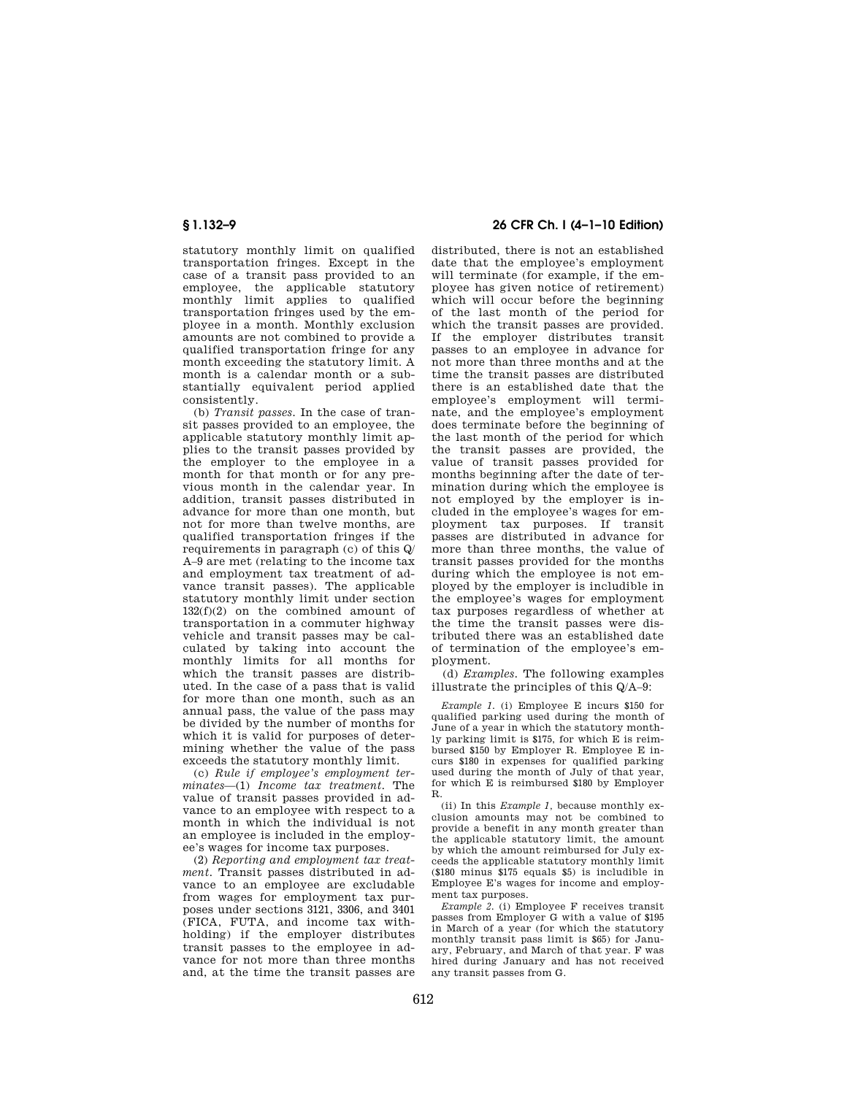statutory monthly limit on qualified transportation fringes. Except in the case of a transit pass provided to an employee, the applicable statutory monthly limit applies to qualified transportation fringes used by the employee in a month. Monthly exclusion amounts are not combined to provide a qualified transportation fringe for any month exceeding the statutory limit. A month is a calendar month or a substantially equivalent period applied consistently.

(b) *Transit passes.* In the case of transit passes provided to an employee, the applicable statutory monthly limit applies to the transit passes provided by the employer to the employee in a month for that month or for any previous month in the calendar year. In addition, transit passes distributed in advance for more than one month, but not for more than twelve months, are qualified transportation fringes if the requirements in paragraph (c) of this Q/ A–9 are met (relating to the income tax and employment tax treatment of advance transit passes). The applicable statutory monthly limit under section 132(f)(2) on the combined amount of transportation in a commuter highway vehicle and transit passes may be calculated by taking into account the monthly limits for all months for which the transit passes are distributed. In the case of a pass that is valid for more than one month, such as an annual pass, the value of the pass may be divided by the number of months for which it is valid for purposes of determining whether the value of the pass exceeds the statutory monthly limit.

(c) *Rule if employee's employment terminates*—(1) *Income tax treatment.* The value of transit passes provided in advance to an employee with respect to a month in which the individual is not an employee is included in the employee's wages for income tax purposes.

(2) *Reporting and employment tax treatment.* Transit passes distributed in advance to an employee are excludable from wages for employment tax purposes under sections 3121, 3306, and 3401 (FICA, FUTA, and income tax withholding) if the employer distributes transit passes to the employee in advance for not more than three months and, at the time the transit passes are

# **§ 1.132–9 26 CFR Ch. I (4–1–10 Edition)**

distributed, there is not an established date that the employee's employment will terminate (for example, if the employee has given notice of retirement) which will occur before the beginning of the last month of the period for which the transit passes are provided. If the employer distributes transit passes to an employee in advance for not more than three months and at the time the transit passes are distributed there is an established date that the employee's employment will terminate, and the employee's employment does terminate before the beginning of the last month of the period for which the transit passes are provided, the value of transit passes provided for months beginning after the date of termination during which the employee is not employed by the employer is included in the employee's wages for employment tax purposes. If transit passes are distributed in advance for more than three months, the value of transit passes provided for the months during which the employee is not employed by the employer is includible in the employee's wages for employment tax purposes regardless of whether at the time the transit passes were distributed there was an established date of termination of the employee's employment.

(d) *Examples.* The following examples illustrate the principles of this Q/A–9:

*Example 1.* (i) Employee E incurs \$150 for qualified parking used during the month of June of a year in which the statutory monthly parking limit is \$175, for which E is reimbursed \$150 by Employer R. Employee E incurs \$180 in expenses for qualified parking used during the month of July of that year, for which E is reimbursed \$180 by Employer R.

(ii) In this *Example 1,* because monthly exclusion amounts may not be combined to provide a benefit in any month greater than the applicable statutory limit, the amount by which the amount reimbursed for July exceeds the applicable statutory monthly limit (\$180 minus \$175 equals \$5) is includible in Employee E's wages for income and employment tax purposes.

*Example 2.* (i) Employee F receives transit passes from Employer G with a value of \$195 in March of a year (for which the statutory monthly transit pass limit is \$65) for January, February, and March of that year. F was hired during January and has not received any transit passes from G.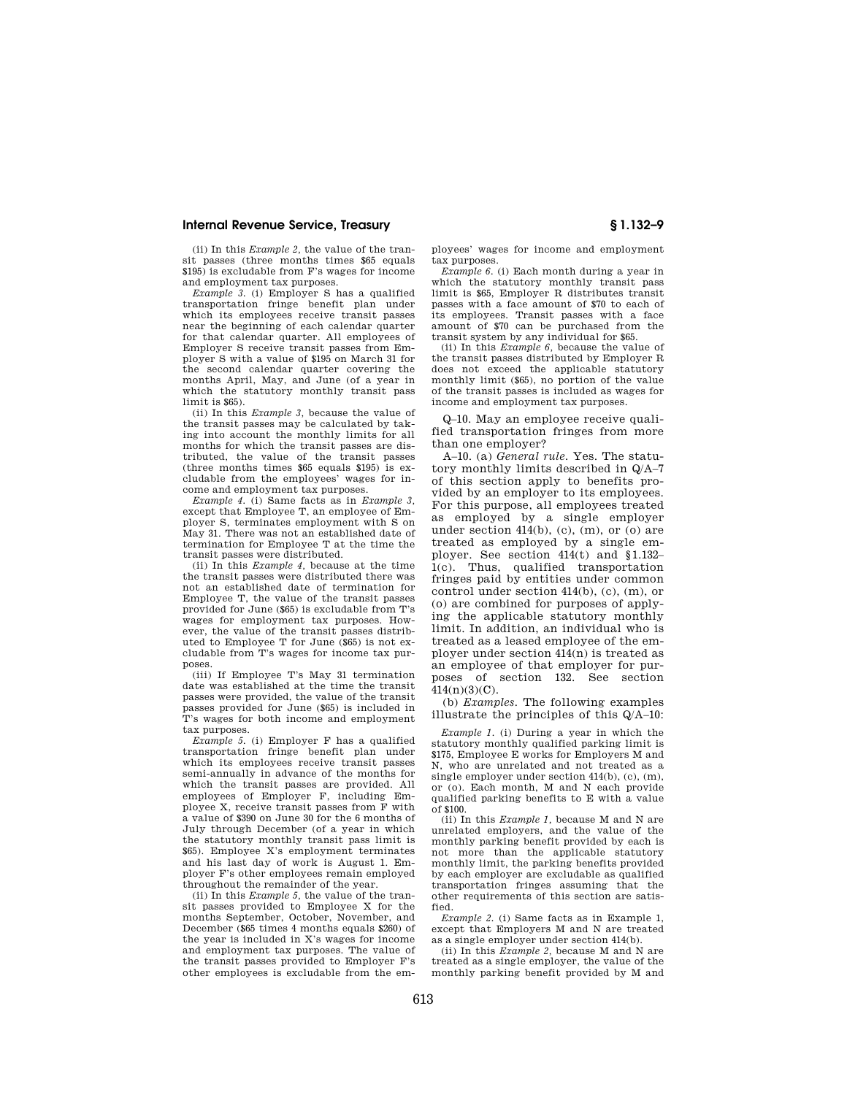(ii) In this *Example 2,* the value of the transit passes (three months times \$65 equals \$195) is excludable from F's wages for income and employment tax purposes.

*Example 3.* (i) Employer S has a qualified transportation fringe benefit plan under which its employees receive transit passes near the beginning of each calendar quarter for that calendar quarter. All employees of Employer S receive transit passes from Employer S with a value of \$195 on March 31 for the second calendar quarter covering the months April, May, and June (of a year in which the statutory monthly transit pass limit is \$65).

(ii) In this *Example 3,* because the value of the transit passes may be calculated by taking into account the monthly limits for all months for which the transit passes are distributed, the value of the transit passes (three months times \$65 equals \$195) is excludable from the employees' wages for income and employment tax purposes.

*Example 4.* (i) Same facts as in *Example 3,*  except that Employee T, an employee of Employer S, terminates employment with S on May 31. There was not an established date of termination for Employee T at the time the transit passes were distributed.

(ii) In this *Example 4,* because at the time the transit passes were distributed there was not an established date of termination for Employee T, the value of the transit passes provided for June (\$65) is excludable from T's wages for employment tax purposes. However, the value of the transit passes distributed to Employee T for June (\$65) is not excludable from T's wages for income tax purposes.

(iii) If Employee T's May 31 termination date was established at the time the transit passes were provided, the value of the transit passes provided for June (\$65) is included in T's wages for both income and employment tax purposes.

*Example 5.* (i) Employer F has a qualified transportation fringe benefit plan under which its employees receive transit passes semi-annually in advance of the months for which the transit passes are provided. All employees of Employer F, including Employee X, receive transit passes from F with a value of \$390 on June 30 for the 6 months of July through December (of a year in which the statutory monthly transit pass limit is \$65). Employee X's employment terminates and his last day of work is August 1. Employer F's other employees remain employed throughout the remainder of the year.

(ii) In this *Example 5,* the value of the transit passes provided to Employee X for the months September, October, November, and December (\$65 times 4 months equals \$260) of the year is included in X's wages for income and employment tax purposes. The value of the transit passes provided to Employer F's other employees is excludable from the employees' wages for income and employment tax purposes.

*Example 6.* (i) Each month during a year in which the statutory monthly transit pass limit is \$65, Employer R distributes transit passes with a face amount of \$70 to each of its employees. Transit passes with a face amount of \$70 can be purchased from the transit system by any individual for \$65.

(ii) In this *Example 6,* because the value of the transit passes distributed by Employer R does not exceed the applicable statutory monthly limit (\$65), no portion of the value of the transit passes is included as wages for income and employment tax purposes.

Q–10. May an employee receive qualified transportation fringes from more than one employer?

A–10. (a) *General rule.* Yes. The statutory monthly limits described in Q/A–7 of this section apply to benefits provided by an employer to its employees. For this purpose, all employees treated as employed by a single employer under section  $414(b)$ , (c), (m), or (o) are treated as employed by a single employer. See section 414(t) and §1.132– 1(c). Thus, qualified transportation fringes paid by entities under common control under section 414(b), (c), (m), or (o) are combined for purposes of applying the applicable statutory monthly limit. In addition, an individual who is treated as a leased employee of the employer under section 414(n) is treated as an employee of that employer for purposes of section 132. See section  $414(n)(3)(C)$ .

(b) *Examples.* The following examples illustrate the principles of this Q/A–10:

*Example 1.* (i) During a year in which the statutory monthly qualified parking limit is \$175, Employee E works for Employers M and N, who are unrelated and not treated as a single employer under section 414(b), (c), (m), or (o). Each month, M and N each provide qualified parking benefits to E with a value of \$100.

(ii) In this *Example 1,* because M and N are unrelated employers, and the value of the monthly parking benefit provided by each is not more than the applicable statutory monthly limit, the parking benefits provided by each employer are excludable as qualified transportation fringes assuming that the other requirements of this section are satisfied.

*Example 2.* (i) Same facts as in Example 1, except that Employers M and N are treated as a single employer under section 414(b).

(ii) In this *Example 2,* because M and N are treated as a single employer, the value of the monthly parking benefit provided by M and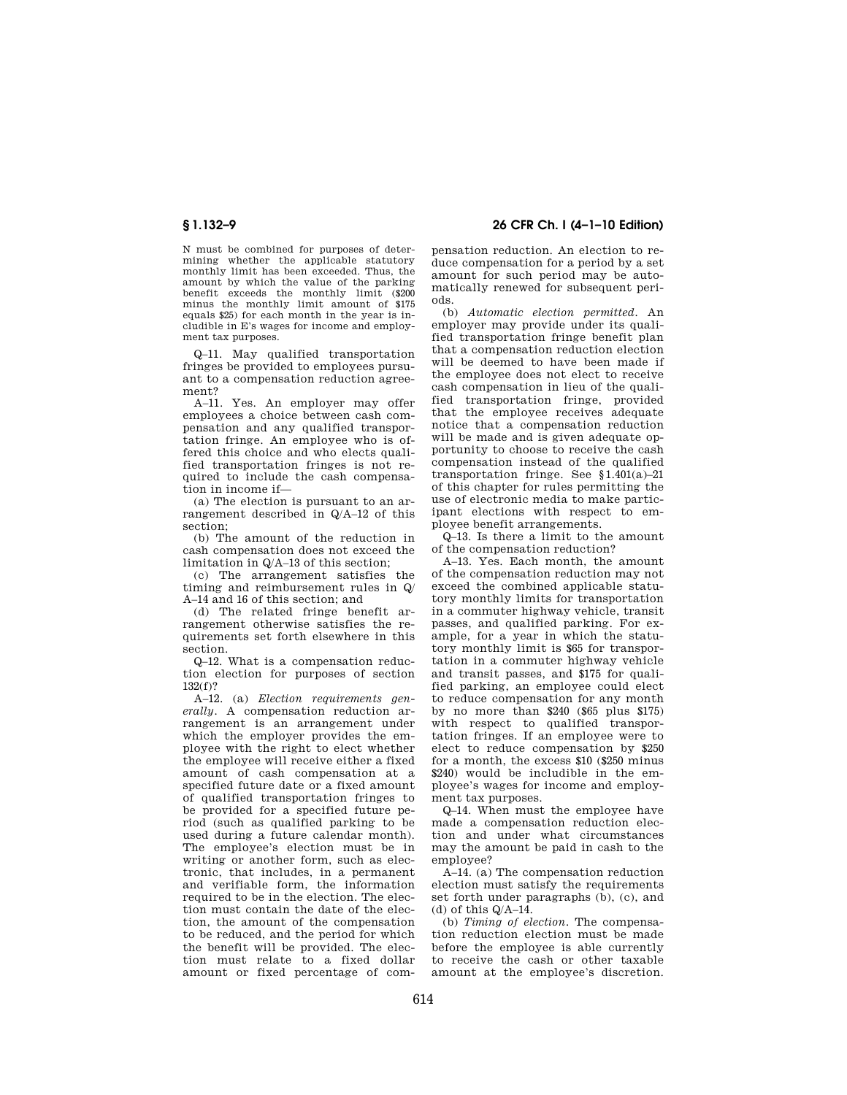N must be combined for purposes of determining whether the applicable statutory monthly limit has been exceeded. Thus, the amount by which the value of the parking benefit exceeds the monthly limit (\$200 minus the monthly limit amount of \$175 equals \$25) for each month in the year is includible in E's wages for income and employment tax purposes.

Q–11. May qualified transportation fringes be provided to employees pursuant to a compensation reduction agreement?

A–11. Yes. An employer may offer employees a choice between cash compensation and any qualified transportation fringe. An employee who is offered this choice and who elects qualified transportation fringes is not required to include the cash compensation in income if—

(a) The election is pursuant to an arrangement described in Q/A–12 of this section;

(b) The amount of the reduction in cash compensation does not exceed the limitation in Q/A–13 of this section;

(c) The arrangement satisfies the timing and reimbursement rules in Q/ A–14 and 16 of this section; and

(d) The related fringe benefit arrangement otherwise satisfies the requirements set forth elsewhere in this section.

Q–12. What is a compensation reduction election for purposes of section 132(f)?

A–12. (a) *Election requirements generally.* A compensation reduction arrangement is an arrangement under which the employer provides the employee with the right to elect whether the employee will receive either a fixed amount of cash compensation at a specified future date or a fixed amount of qualified transportation fringes to be provided for a specified future period (such as qualified parking to be used during a future calendar month). The employee's election must be in writing or another form, such as electronic, that includes, in a permanent and verifiable form, the information required to be in the election. The election must contain the date of the election, the amount of the compensation to be reduced, and the period for which the benefit will be provided. The election must relate to a fixed dollar amount or fixed percentage of com-

**§ 1.132–9 26 CFR Ch. I (4–1–10 Edition)** 

pensation reduction. An election to reduce compensation for a period by a set amount for such period may be automatically renewed for subsequent periods.

(b) *Automatic election permitted.* An employer may provide under its qualified transportation fringe benefit plan that a compensation reduction election will be deemed to have been made if the employee does not elect to receive cash compensation in lieu of the qualified transportation fringe, provided that the employee receives adequate notice that a compensation reduction will be made and is given adequate opportunity to choose to receive the cash compensation instead of the qualified transportation fringe. See §1.401(a)–21 of this chapter for rules permitting the use of electronic media to make participant elections with respect to employee benefit arrangements.

Q–13. Is there a limit to the amount of the compensation reduction?

A–13. Yes. Each month, the amount of the compensation reduction may not exceed the combined applicable statutory monthly limits for transportation in a commuter highway vehicle, transit passes, and qualified parking. For example, for a year in which the statutory monthly limit is \$65 for transportation in a commuter highway vehicle and transit passes, and \$175 for qualified parking, an employee could elect to reduce compensation for any month by no more than \$240 (\$65 plus \$175) with respect to qualified transportation fringes. If an employee were to elect to reduce compensation by \$250 for a month, the excess \$10 (\$250 minus) \$240) would be includible in the employee's wages for income and employment tax purposes.

Q–14. When must the employee have made a compensation reduction election and under what circumstances may the amount be paid in cash to the employee?

A–14. (a) The compensation reduction election must satisfy the requirements set forth under paragraphs (b), (c), and (d) of this  $Q/A-14$ .

(b) *Timing of election.* The compensation reduction election must be made before the employee is able currently to receive the cash or other taxable amount at the employee's discretion.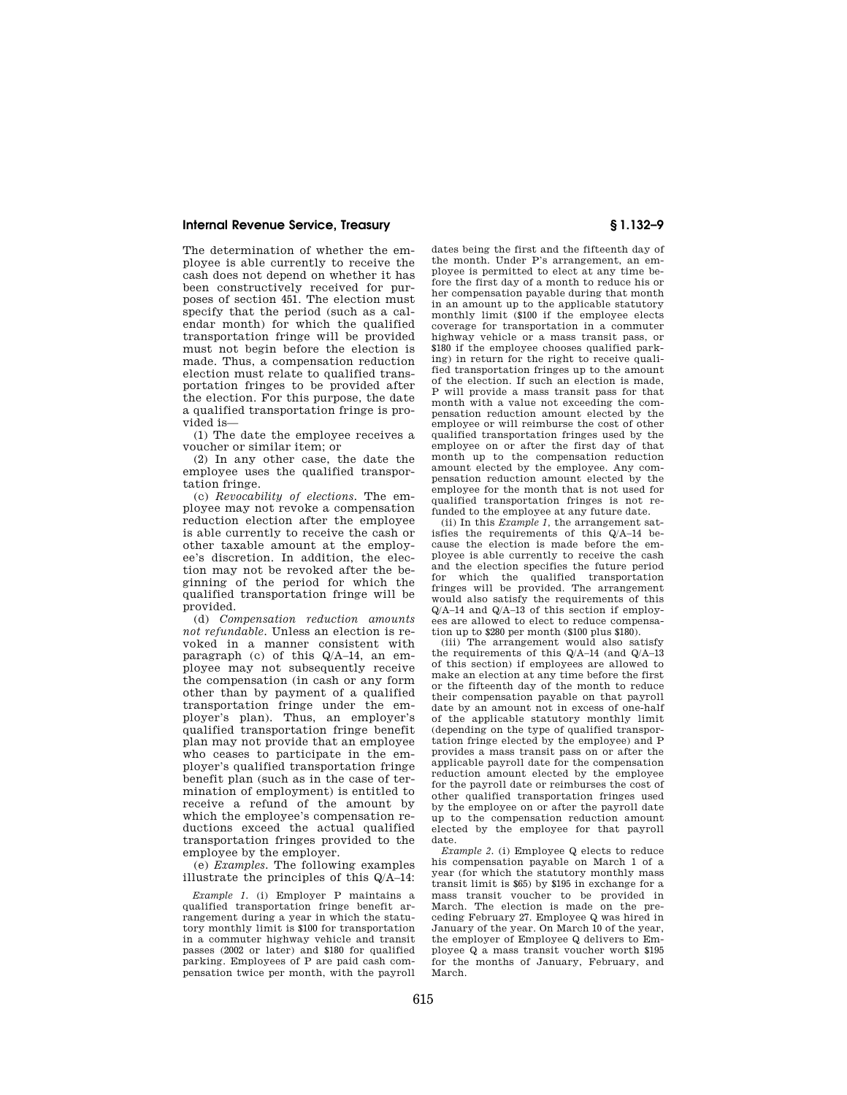The determination of whether the employee is able currently to receive the cash does not depend on whether it has been constructively received for purposes of section 451. The election must specify that the period (such as a calendar month) for which the qualified transportation fringe will be provided must not begin before the election is made. Thus, a compensation reduction election must relate to qualified transportation fringes to be provided after the election. For this purpose, the date a qualified transportation fringe is provided is—

(1) The date the employee receives a voucher or similar item; or

(2) In any other case, the date the employee uses the qualified transportation fringe.

(c) *Revocability of elections.* The employee may not revoke a compensation reduction election after the employee is able currently to receive the cash or other taxable amount at the employee's discretion. In addition, the election may not be revoked after the beginning of the period for which the qualified transportation fringe will be provided.

(d) *Compensation reduction amounts not refundable.* Unless an election is revoked in a manner consistent with paragraph (c) of this Q/A–14, an employee may not subsequently receive the compensation (in cash or any form other than by payment of a qualified transportation fringe under the employer's plan). Thus, an employer's qualified transportation fringe benefit plan may not provide that an employee who ceases to participate in the employer's qualified transportation fringe benefit plan (such as in the case of termination of employment) is entitled to receive a refund of the amount by which the employee's compensation reductions exceed the actual qualified transportation fringes provided to the employee by the employer.

(e) *Examples.* The following examples illustrate the principles of this Q/A–14:

*Example 1.* (i) Employer P maintains a qualified transportation fringe benefit arrangement during a year in which the statutory monthly limit is \$100 for transportation in a commuter highway vehicle and transit passes (2002 or later) and \$180 for qualified parking. Employees of P are paid cash compensation twice per month, with the payroll

dates being the first and the fifteenth day of the month. Under P's arrangement, an employee is permitted to elect at any time before the first day of a month to reduce his or her compensation payable during that month in an amount up to the applicable statutory monthly limit (\$100 if the employee elects coverage for transportation in a commuter highway vehicle or a mass transit pass, or \$180 if the employee chooses qualified parking) in return for the right to receive qualified transportation fringes up to the amount of the election. If such an election is made, P will provide a mass transit pass for that month with a value not exceeding the compensation reduction amount elected by the employee or will reimburse the cost of other qualified transportation fringes used by the employee on or after the first day of that month up to the compensation reduction amount elected by the employee. Any compensation reduction amount elected by the employee for the month that is not used for qualified transportation fringes is not refunded to the employee at any future date.

(ii) In this *Example 1,* the arrangement satisfies the requirements of this Q/A–14 because the election is made before the employee is able currently to receive the cash and the election specifies the future period for which the qualified transportation fringes will be provided. The arrangement would also satisfy the requirements of this Q/A–14 and Q/A–13 of this section if employees are allowed to elect to reduce compensation up to \$280 per month (\$100 plus \$180).

(iii) The arrangement would also satisfy the requirements of this Q/A–14 (and Q/A–13 of this section) if employees are allowed to make an election at any time before the first or the fifteenth day of the month to reduce their compensation payable on that payroll date by an amount not in excess of one-half of the applicable statutory monthly limit (depending on the type of qualified transportation fringe elected by the employee) and P provides a mass transit pass on or after the applicable payroll date for the compensation reduction amount elected by the employee for the payroll date or reimburses the cost of other qualified transportation fringes used by the employee on or after the payroll date up to the compensation reduction amount elected by the employee for that payroll date.

*Example 2.* (i) Employee Q elects to reduce his compensation payable on March 1 of a year (for which the statutory monthly mass transit limit is \$65) by \$195 in exchange for a mass transit voucher to be provided in March. The election is made on the preceding February 27. Employee Q was hired in January of the year. On March 10 of the year, the employer of Employee Q delivers to Employee Q a mass transit voucher worth \$195 for the months of January, February, and March.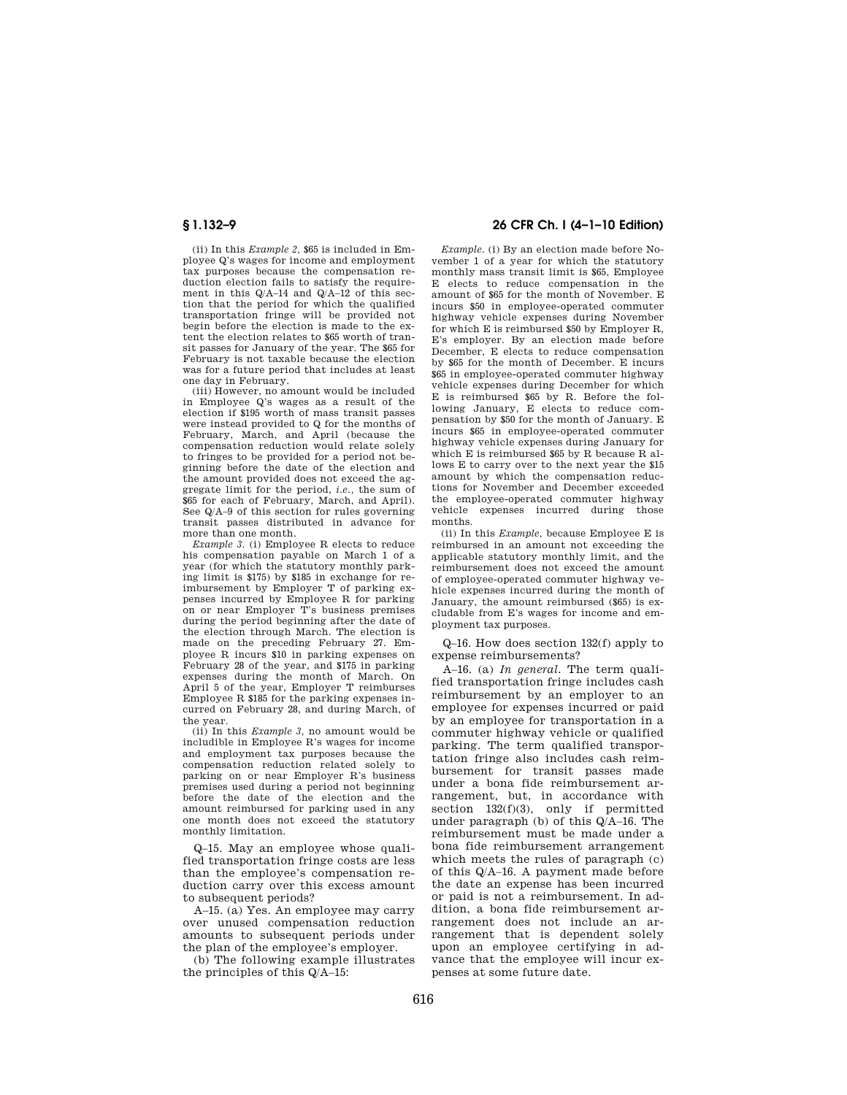(ii) In this *Example 2,* \$65 is included in Employee Q's wages for income and employment tax purposes because the compensation reduction election fails to satisfy the requirement in this Q/A–14 and Q/A–12 of this section that the period for which the qualified transportation fringe will be provided not begin before the election is made to the extent the election relates to \$65 worth of transit passes for January of the year. The \$65 for February is not taxable because the election was for a future period that includes at least one day in February.

(iii) However, no amount would be included in Employee Q's wages as a result of the election if \$195 worth of mass transit passes were instead provided to Q for the months of February, March, and April (because the compensation reduction would relate solely to fringes to be provided for a period not beginning before the date of the election and the amount provided does not exceed the aggregate limit for the period, *i.e.,* the sum of \$65 for each of February, March, and April). See Q/A–9 of this section for rules governing transit passes distributed in advance for more than one month.

*Example 3.* (i) Employee R elects to reduce his compensation payable on March 1 of a year (for which the statutory monthly parking limit is \$175) by \$185 in exchange for reimbursement by Employer T of parking expenses incurred by Employee R for parking on or near Employer T's business premises during the period beginning after the date of the election through March. The election is made on the preceding February 27. Employee R incurs \$10 in parking expenses on February 28 of the year, and \$175 in parking expenses during the month of March. On April 5 of the year, Employer T reimburses Employee R \$185 for the parking expenses incurred on February 28, and during March, of the year.

(ii) In this *Example 3,* no amount would be includible in Employee R's wages for income and employment tax purposes because the compensation reduction related solely to parking on or near Employer R's business premises used during a period not beginning before the date of the election and the amount reimbursed for parking used in any one month does not exceed the statutory monthly limitation.

Q–15. May an employee whose qualified transportation fringe costs are less than the employee's compensation reduction carry over this excess amount to subsequent periods?

A–15. (a) Yes. An employee may carry over unused compensation reduction amounts to subsequent periods under the plan of the employee's employer.

(b) The following example illustrates the principles of this Q/A–15:

## **§ 1.132–9 26 CFR Ch. I (4–1–10 Edition)**

*Example.* (i) By an election made before November 1 of a year for which the statutory monthly mass transit limit is \$65, Employee E elects to reduce compensation in the amount of \$65 for the month of November. E incurs \$50 in employee-operated commuter highway vehicle expenses during November for which E is reimbursed \$50 by Employer R, E's employer. By an election made before December, E elects to reduce compensation by \$65 for the month of December. E incurs \$65 in employee-operated commuter highway vehicle expenses during December for which E is reimbursed \$65 by R. Before the following January, E elects to reduce compensation by \$50 for the month of January. E incurs \$65 in employee-operated commuter highway vehicle expenses during January for which E is reimbursed \$65 by R because R allows E to carry over to the next year the \$15 amount by which the compensation reductions for November and December exceeded the employee-operated commuter highway vehicle expenses incurred during those months.

(ii) In this *Example,* because Employee E is reimbursed in an amount not exceeding the applicable statutory monthly limit, and the reimbursement does not exceed the amount of employee-operated commuter highway vehicle expenses incurred during the month of January, the amount reimbursed (\$65) is excludable from E's wages for income and employment tax purposes.

Q–16. How does section 132(f) apply to expense reimbursements?

A–16. (a) *In general.* The term qualified transportation fringe includes cash reimbursement by an employer to an employee for expenses incurred or paid by an employee for transportation in a commuter highway vehicle or qualified parking. The term qualified transportation fringe also includes cash reimbursement for transit passes made under a bona fide reimbursement arrangement, but, in accordance with section  $132(f)(3)$ , only if permitted under paragraph (b) of this Q/A–16. The reimbursement must be made under a bona fide reimbursement arrangement which meets the rules of paragraph (c) of this Q/A–16. A payment made before the date an expense has been incurred or paid is not a reimbursement. In addition, a bona fide reimbursement arrangement does not include an arrangement that is dependent solely upon an employee certifying in advance that the employee will incur expenses at some future date.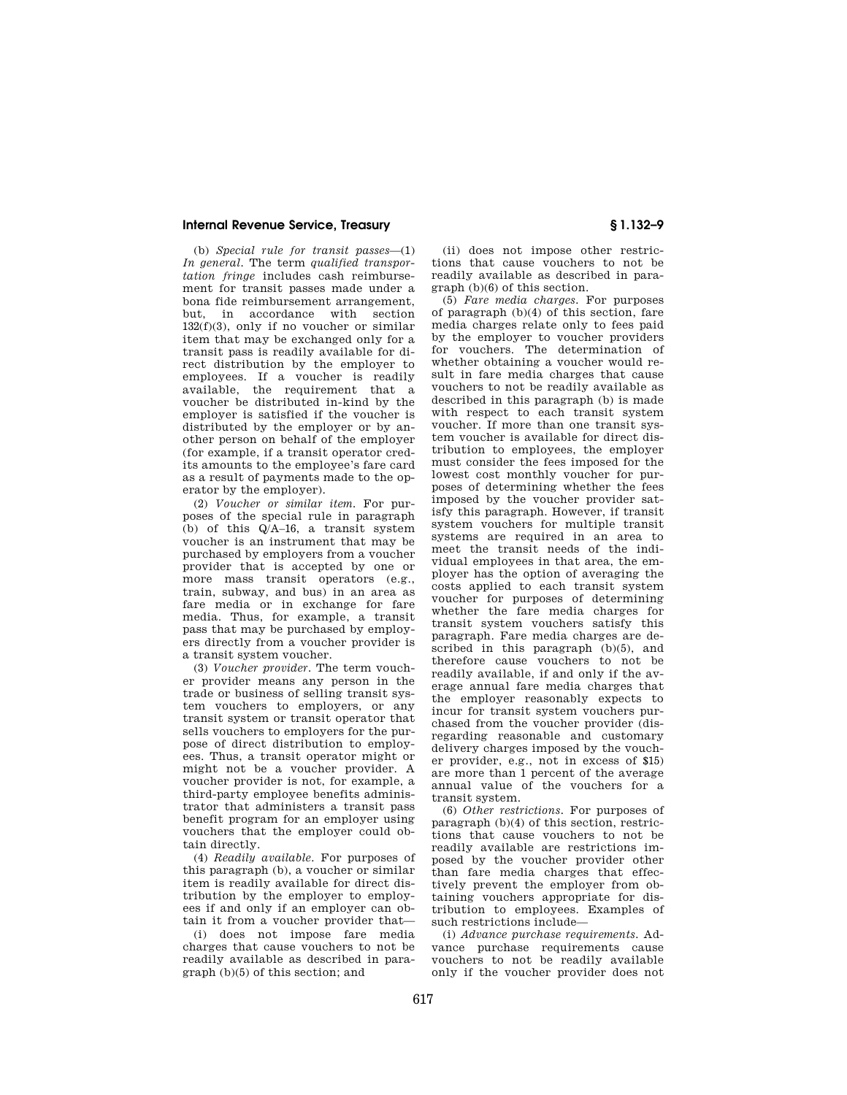(b) *Special rule for transit passes*—(1) *In general.* The term *qualified transportation fringe* includes cash reimbursement for transit passes made under a bona fide reimbursement arrangement, but, in accordance with section 132(f)(3), only if no voucher or similar item that may be exchanged only for a transit pass is readily available for direct distribution by the employer to employees. If a voucher is readily available, the requirement that a voucher be distributed in-kind by the employer is satisfied if the voucher is distributed by the employer or by another person on behalf of the employer (for example, if a transit operator credits amounts to the employee's fare card as a result of payments made to the operator by the employer).

(2) *Voucher or similar item.* For purposes of the special rule in paragraph (b) of this Q/A–16, a transit system voucher is an instrument that may be purchased by employers from a voucher provider that is accepted by one or more mass transit operators (e.g., train, subway, and bus) in an area as fare media or in exchange for fare media. Thus, for example, a transit pass that may be purchased by employers directly from a voucher provider is a transit system voucher.

(3) *Voucher provider.* The term voucher provider means any person in the trade or business of selling transit system vouchers to employers, or any transit system or transit operator that sells vouchers to employers for the purpose of direct distribution to employees. Thus, a transit operator might or might not be a voucher provider. A voucher provider is not, for example, a third-party employee benefits administrator that administers a transit pass benefit program for an employer using vouchers that the employer could obtain directly.

(4) *Readily available.* For purposes of this paragraph (b), a voucher or similar item is readily available for direct distribution by the employer to employees if and only if an employer can obtain it from a voucher provider that—

(i) does not impose fare media charges that cause vouchers to not be readily available as described in paragraph (b)(5) of this section; and

(ii) does not impose other restrictions that cause vouchers to not be readily available as described in paragraph (b)(6) of this section.

(5) *Fare media charges.* For purposes of paragraph (b)(4) of this section, fare media charges relate only to fees paid by the employer to voucher providers for vouchers. The determination of whether obtaining a voucher would result in fare media charges that cause vouchers to not be readily available as described in this paragraph (b) is made with respect to each transit system voucher. If more than one transit system voucher is available for direct distribution to employees, the employer must consider the fees imposed for the lowest cost monthly voucher for purposes of determining whether the fees imposed by the voucher provider satisfy this paragraph. However, if transit system vouchers for multiple transit systems are required in an area to meet the transit needs of the individual employees in that area, the employer has the option of averaging the costs applied to each transit system voucher for purposes of determining whether the fare media charges for transit system vouchers satisfy this paragraph. Fare media charges are described in this paragraph (b)(5), and therefore cause vouchers to not be readily available, if and only if the average annual fare media charges that the employer reasonably expects to incur for transit system vouchers purchased from the voucher provider (disregarding reasonable and customary delivery charges imposed by the voucher provider, e.g., not in excess of \$15) are more than 1 percent of the average annual value of the vouchers for a transit system.

(6) *Other restrictions.* For purposes of paragraph (b)(4) of this section, restrictions that cause vouchers to not be readily available are restrictions imposed by the voucher provider other than fare media charges that effectively prevent the employer from obtaining vouchers appropriate for distribution to employees. Examples of such restrictions include—

(i) *Advance purchase requirements.* Advance purchase requirements cause vouchers to not be readily available only if the voucher provider does not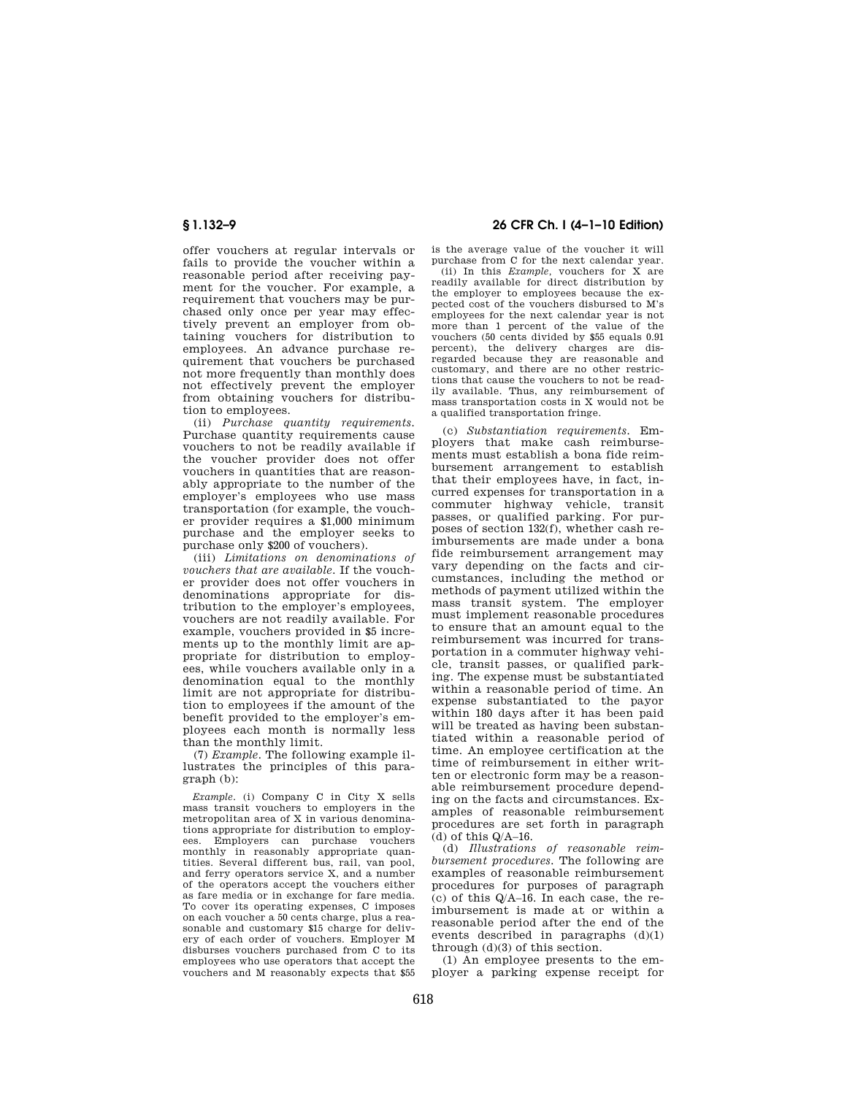offer vouchers at regular intervals or fails to provide the voucher within a reasonable period after receiving payment for the voucher. For example, a requirement that vouchers may be purchased only once per year may effectively prevent an employer from obtaining vouchers for distribution to employees. An advance purchase requirement that vouchers be purchased not more frequently than monthly does not effectively prevent the employer from obtaining vouchers for distribution to employees.

(ii) *Purchase quantity requirements.*  Purchase quantity requirements cause vouchers to not be readily available if the voucher provider does not offer vouchers in quantities that are reasonably appropriate to the number of the employer's employees who use mass transportation (for example, the voucher provider requires a \$1,000 minimum purchase and the employer seeks to purchase only \$200 of vouchers).

(iii) *Limitations on denominations of vouchers that are available.* If the voucher provider does not offer vouchers in denominations appropriate for distribution to the employer's employees, vouchers are not readily available. For example, vouchers provided in \$5 increments up to the monthly limit are appropriate for distribution to employees, while vouchers available only in a denomination equal to the monthly limit are not appropriate for distribution to employees if the amount of the benefit provided to the employer's employees each month is normally less than the monthly limit.

(7) *Example.* The following example illustrates the principles of this paragraph (b):

*Example.* (i) Company C in City X sells mass transit vouchers to employers in the mass crainer vecenters to emproy one in the tions appropriate for distribution to employees. Employers can purchase vouchers monthly in reasonably appropriate quan-tities. Several different bus, rail, van pool, and ferry operators service X, and a number of the operators accept the vouchers either as fare media or in exchange for fare media. To cover its operating expenses, C imposes on each voucher a 50 cents charge, plus a reasonable and customary \$15 charge for delivery of each order of vouchers. Employer M disburses vouchers purchased from C to its employees who use operators that accept the vouchers and M reasonably expects that \$55

## **§ 1.132–9 26 CFR Ch. I (4–1–10 Edition)**

is the average value of the voucher it will purchase from C for the next calendar year. (ii) In this *Example,* vouchers for X are readily available for direct distribution by the employer to employees because the expected cost of the vouchers disbursed to M's employees for the next calendar year is not more than 1 percent of the value of the vouchers (50 cents divided by \$55 equals 0.91 percent), the delivery charges are disregarded because they are reasonable and customary, and there are no other restrictions that cause the vouchers to not be readily available. Thus, any reimbursement of mass transportation costs in X would not be a qualified transportation fringe.

(c) *Substantiation requirements.* Employers that make cash reimbursements must establish a bona fide reimbursement arrangement to establish that their employees have, in fact, incurred expenses for transportation in a commuter highway vehicle, transit passes, or qualified parking. For purposes of section 132(f), whether cash reimbursements are made under a bona fide reimbursement arrangement may vary depending on the facts and circumstances, including the method or methods of payment utilized within the mass transit system. The employer must implement reasonable procedures to ensure that an amount equal to the reimbursement was incurred for transportation in a commuter highway vehicle, transit passes, or qualified parking. The expense must be substantiated within a reasonable period of time. An expense substantiated to the payor within 180 days after it has been paid will be treated as having been substantiated within a reasonable period of time. An employee certification at the time of reimbursement in either written or electronic form may be a reasonable reimbursement procedure depending on the facts and circumstances. Examples of reasonable reimbursement procedures are set forth in paragraph (d) of this  $Q/A-16$ .

(d) *Illustrations of reasonable reimbursement procedures.* The following are examples of reasonable reimbursement procedures for purposes of paragraph (c) of this Q/A–16. In each case, the reimbursement is made at or within a reasonable period after the end of the events described in paragraphs (d)(1) through (d)(3) of this section.

(1) An employee presents to the employer a parking expense receipt for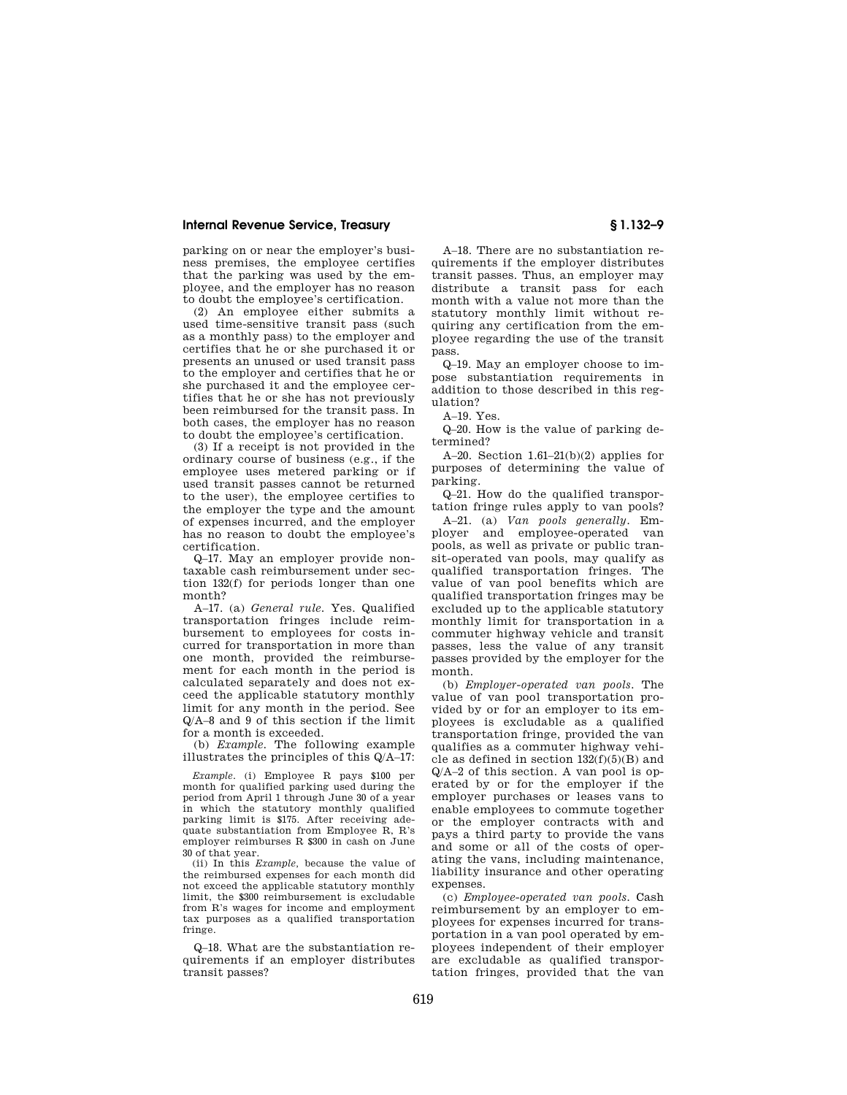parking on or near the employer's business premises, the employee certifies that the parking was used by the employee, and the employer has no reason to doubt the employee's certification.

(2) An employee either submits a used time-sensitive transit pass (such as a monthly pass) to the employer and certifies that he or she purchased it or presents an unused or used transit pass to the employer and certifies that he or she purchased it and the employee certifies that he or she has not previously been reimbursed for the transit pass. In both cases, the employer has no reason to doubt the employee's certification.

(3) If a receipt is not provided in the ordinary course of business (e.g., if the employee uses metered parking or if used transit passes cannot be returned to the user), the employee certifies to the employer the type and the amount of expenses incurred, and the employer has no reason to doubt the employee's certification.

Q–17. May an employer provide nontaxable cash reimbursement under section 132(f) for periods longer than one month?

A–17. (a) *General rule.* Yes. Qualified transportation fringes include reimbursement to employees for costs incurred for transportation in more than one month, provided the reimbursement for each month in the period is calculated separately and does not exceed the applicable statutory monthly limit for any month in the period. See Q/A–8 and 9 of this section if the limit for a month is exceeded.

(b) *Example.* The following example illustrates the principles of this Q/A–17:

*Example.* (i) Employee R pays \$100 per month for qualified parking used during the period from April 1 through June 30 of a year in which the statutory monthly qualified parking limit is \$175. After receiving adequate substantiation from Employee R, R's employer reimburses R \$300 in cash on June 30 of that year.

(ii) In this *Example,* because the value of the reimbursed expenses for each month did not exceed the applicable statutory monthly limit, the \$300 reimbursement is excludable from R's wages for income and employment tax purposes as a qualified transportation fringe.

Q–18. What are the substantiation requirements if an employer distributes transit passes?

A–18. There are no substantiation requirements if the employer distributes transit passes. Thus, an employer may distribute a transit pass for each month with a value not more than the statutory monthly limit without requiring any certification from the employee regarding the use of the transit pass.

Q–19. May an employer choose to impose substantiation requirements in addition to those described in this regulation?

A–19. Yes.

Q–20. How is the value of parking determined?

A–20. Section  $1.61-21(b)(2)$  applies for purposes of determining the value of parking.

Q–21. How do the qualified transportation fringe rules apply to van pools?

A–21. (a) *Van pools generally.* Employer and employee-operated van pools, as well as private or public transit-operated van pools, may qualify as qualified transportation fringes. The value of van pool benefits which are qualified transportation fringes may be excluded up to the applicable statutory monthly limit for transportation in a commuter highway vehicle and transit passes, less the value of any transit passes provided by the employer for the month.

(b) *Employer-operated van pools.* The value of van pool transportation provided by or for an employer to its employees is excludable as a qualified transportation fringe, provided the van qualifies as a commuter highway vehicle as defined in section  $132(f)(5)(B)$  and Q/A–2 of this section. A van pool is operated by or for the employer if the employer purchases or leases vans to enable employees to commute together or the employer contracts with and pays a third party to provide the vans and some or all of the costs of operating the vans, including maintenance, liability insurance and other operating expenses.

(c) *Employee-operated van pools.* Cash reimbursement by an employer to employees for expenses incurred for transportation in a van pool operated by employees independent of their employer are excludable as qualified transportation fringes, provided that the van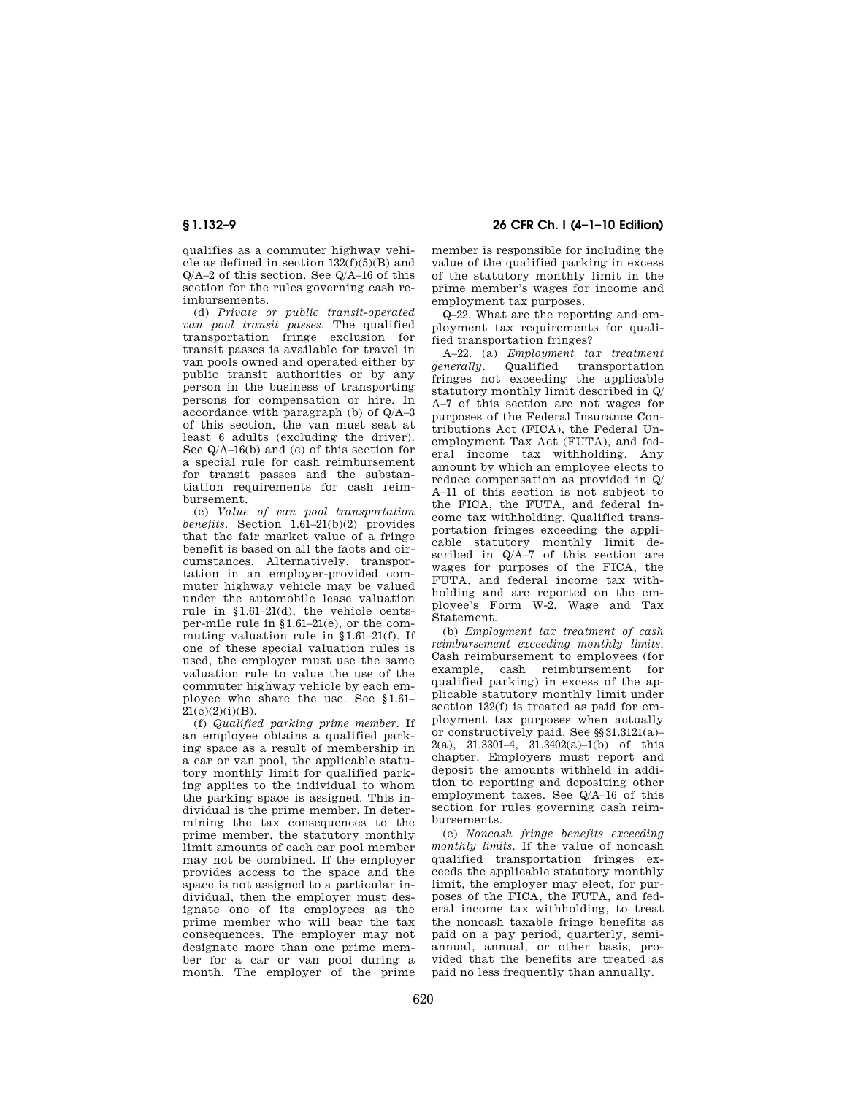qualifies as a commuter highway vehicle as defined in section  $132(f)(5)(B)$  and Q/A–2 of this section. See Q/A–16 of this section for the rules governing cash reimbursements.

(d) *Private or public transit-operated van pool transit passes.* The qualified transportation fringe exclusion for transit passes is available for travel in van pools owned and operated either by public transit authorities or by any person in the business of transporting persons for compensation or hire. In accordance with paragraph (b) of Q/A–3 of this section, the van must seat at least 6 adults (excluding the driver). See Q/A–16(b) and (c) of this section for a special rule for cash reimbursement for transit passes and the substantiation requirements for cash reimbursement.

(e) *Value of van pool transportation benefits.* Section 1.61–21(b)(2) provides that the fair market value of a fringe benefit is based on all the facts and circumstances. Alternatively, transportation in an employer-provided commuter highway vehicle may be valued under the automobile lease valuation rule in §1.61–21(d), the vehicle centsper-mile rule in §1.61–21(e), or the commuting valuation rule in §1.61–21(f). If one of these special valuation rules is used, the employer must use the same valuation rule to value the use of the commuter highway vehicle by each employee who share the use. See §1.61–  $21(c)(2)(i)(B)$ .

(f) *Qualified parking prime member.* If an employee obtains a qualified parking space as a result of membership in a car or van pool, the applicable statutory monthly limit for qualified parking applies to the individual to whom the parking space is assigned. This individual is the prime member. In determining the tax consequences to the prime member, the statutory monthly limit amounts of each car pool member may not be combined. If the employer provides access to the space and the space is not assigned to a particular individual, then the employer must designate one of its employees as the prime member who will bear the tax consequences. The employer may not designate more than one prime member for a car or van pool during a month. The employer of the prime

# **§ 1.132–9 26 CFR Ch. I (4–1–10 Edition)**

member is responsible for including the value of the qualified parking in excess of the statutory monthly limit in the prime member's wages for income and employment tax purposes.

Q–22. What are the reporting and employment tax requirements for qualified transportation fringes?

A–22. (a) *Employment tax treatment generally.* Qualified transportation fringes not exceeding the applicable statutory monthly limit described in Q/ A–7 of this section are not wages for purposes of the Federal Insurance Contributions Act (FICA), the Federal Unemployment Tax Act (FUTA), and federal income tax withholding. Any amount by which an employee elects to reduce compensation as provided in Q/ A–11 of this section is not subject to the FICA, the FUTA, and federal income tax withholding. Qualified transportation fringes exceeding the applicable statutory monthly limit described in Q/A–7 of this section are wages for purposes of the FICA, the FUTA, and federal income tax withholding and are reported on the employee's Form W-2, Wage and Tax Statement.

(b) *Employment tax treatment of cash reimbursement exceeding monthly limits.*  Cash reimbursement to employees (for example, cash reimbursement for qualified parking) in excess of the applicable statutory monthly limit under section 132(f) is treated as paid for employment tax purposes when actually or constructively paid. See §§31.3121(a)– 2(a), 31.3301-4,  $31.3402(a)-1(b)$  of this chapter. Employers must report and deposit the amounts withheld in addition to reporting and depositing other employment taxes. See Q/A–16 of this section for rules governing cash reimbursements.

(c) *Noncash fringe benefits exceeding monthly limits.* If the value of noncash qualified transportation fringes exceeds the applicable statutory monthly limit, the employer may elect, for purposes of the FICA, the FUTA, and federal income tax withholding, to treat the noncash taxable fringe benefits as paid on a pay period, quarterly, semiannual, annual, or other basis, provided that the benefits are treated as paid no less frequently than annually.